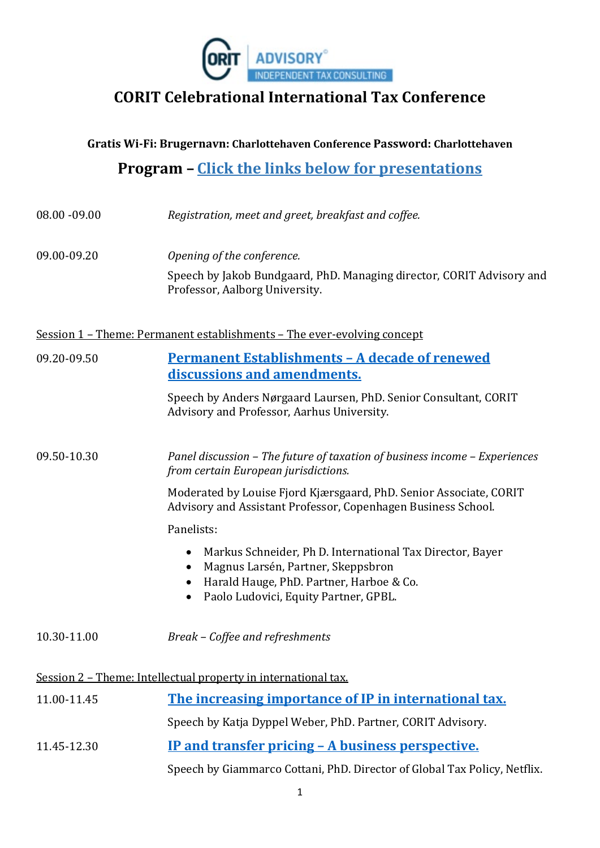

## **CORIT Celebrational International Tax Conference**

| Gratis Wi-Fi: Brugernavn: Charlottehaven Conference Password: Charlottehaven |                                                                                                                                                                                                   |  |
|------------------------------------------------------------------------------|---------------------------------------------------------------------------------------------------------------------------------------------------------------------------------------------------|--|
| <b>Program - Click the links below for presentations</b>                     |                                                                                                                                                                                                   |  |
| 08.00 -09.00                                                                 | Registration, meet and greet, breakfast and coffee.                                                                                                                                               |  |
| 09.00-09.20                                                                  | Opening of the conference.                                                                                                                                                                        |  |
|                                                                              | Speech by Jakob Bundgaard, PhD. Managing director, CORIT Advisory and<br>Professor, Aalborg University.                                                                                           |  |
|                                                                              | Session 1 - Theme: Permanent establishments - The ever-evolving concept                                                                                                                           |  |
| 09.20-09.50                                                                  | <u> Permanent Establishments - A decade of renewed</u><br>discussions and amendments.                                                                                                             |  |
|                                                                              | Speech by Anders Nørgaard Laursen, PhD. Senior Consultant, CORIT<br>Advisory and Professor, Aarhus University.                                                                                    |  |
| 09.50-10.30                                                                  | Panel discussion - The future of taxation of business income - Experiences<br>from certain European jurisdictions.                                                                                |  |
|                                                                              | Moderated by Louise Fjord Kjærsgaard, PhD. Senior Associate, CORIT<br>Advisory and Assistant Professor, Copenhagen Business School.                                                               |  |
|                                                                              | Panelists:                                                                                                                                                                                        |  |
|                                                                              | Markus Schneider, Ph D. International Tax Director, Bayer<br>$\bullet$<br>Magnus Larsén, Partner, Skeppsbron<br>Harald Hauge, PhD. Partner, Harboe & Co.<br>Paolo Ludovici, Equity Partner, GPBL. |  |
| 10.30-11.00                                                                  | Break - Coffee and refreshments                                                                                                                                                                   |  |
|                                                                              | Session 2 - Theme: Intellectual property in international tax.                                                                                                                                    |  |
| 11.00-11.45                                                                  | The increasing importance of IP in international tax.                                                                                                                                             |  |
|                                                                              | Speech by Katja Dyppel Weber, PhD. Partner, CORIT Advisory.                                                                                                                                       |  |
| 11.45-12.30                                                                  | <u>IP and transfer pricing - A business perspective.</u>                                                                                                                                          |  |

Speech by Giammarco Cottani, PhD. Director of Global Tax Policy, Netflix.